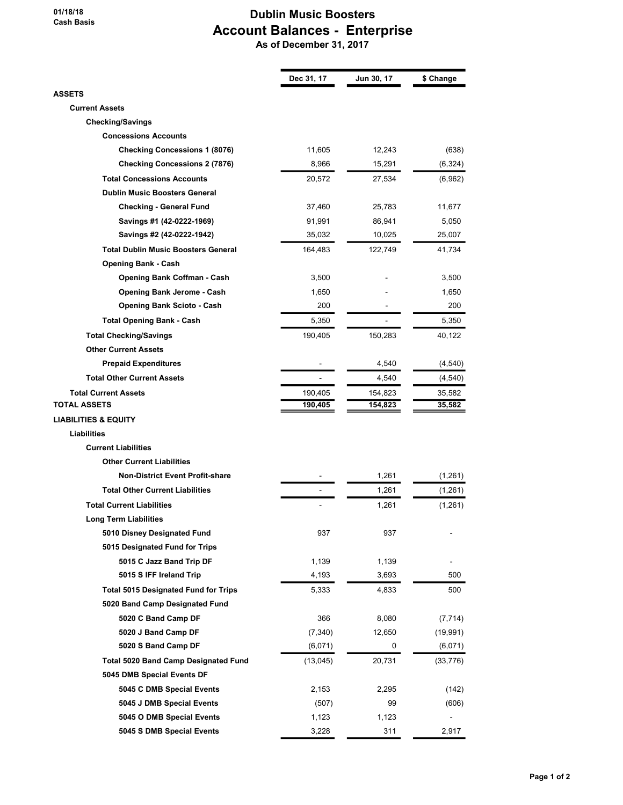## 01/18/18 Cash Basis

## Dublin Music Boosters Account Balances - Enterprise

As of December 31, 2017

|                                             | Dec 31, 17 | Jun 30, 17 | \$ Change |
|---------------------------------------------|------------|------------|-----------|
| <b>ASSETS</b>                               |            |            |           |
| <b>Current Assets</b>                       |            |            |           |
| <b>Checking/Savings</b>                     |            |            |           |
| <b>Concessions Accounts</b>                 |            |            |           |
| <b>Checking Concessions 1 (8076)</b>        | 11,605     | 12,243     | (638)     |
| <b>Checking Concessions 2 (7876)</b>        | 8,966      | 15,291     | (6, 324)  |
| <b>Total Concessions Accounts</b>           | 20,572     | 27,534     | (6,962)   |
| <b>Dublin Music Boosters General</b>        |            |            |           |
| <b>Checking - General Fund</b>              | 37,460     | 25,783     | 11,677    |
| Savings #1 (42-0222-1969)                   | 91,991     | 86,941     | 5,050     |
| Savings #2 (42-0222-1942)                   | 35,032     | 10,025     | 25,007    |
| <b>Total Dublin Music Boosters General</b>  | 164,483    | 122,749    | 41,734    |
| <b>Opening Bank - Cash</b>                  |            |            |           |
| <b>Opening Bank Coffman - Cash</b>          | 3,500      |            | 3,500     |
| Opening Bank Jerome - Cash                  | 1,650      |            | 1,650     |
| <b>Opening Bank Scioto - Cash</b>           | 200        |            | 200       |
| <b>Total Opening Bank - Cash</b>            | 5,350      |            | 5,350     |
| <b>Total Checking/Savings</b>               | 190,405    | 150,283    | 40,122    |
| <b>Other Current Assets</b>                 |            |            |           |
| <b>Prepaid Expenditures</b>                 |            | 4,540      | (4, 540)  |
| <b>Total Other Current Assets</b>           |            | 4,540      | (4, 540)  |
| <b>Total Current Assets</b>                 | 190,405    | 154,823    | 35,582    |
| TOTAL ASSETS                                | 190,405    | 154,823    | 35,582    |
| <b>LIABILITIES &amp; EQUITY</b>             |            |            |           |
| Liabilities                                 |            |            |           |
| <b>Current Liabilities</b>                  |            |            |           |
| <b>Other Current Liabilities</b>            |            |            |           |
| <b>Non-District Event Profit-share</b>      |            | 1,261      | (1,261)   |
| <b>Total Other Current Liabilities</b>      |            | 1,261      | (1,261)   |
| <b>Total Current Liabilities</b>            |            | 1,261      | (1,261)   |
| <b>Long Term Liabilities</b>                |            |            |           |
| 5010 Disney Designated Fund                 | 937        | 937        |           |
| 5015 Designated Fund for Trips              |            |            |           |
| 5015 C Jazz Band Trip DF                    | 1,139      | 1,139      |           |
| 5015 S IFF Ireland Trip                     | 4,193      | 3,693      | 500       |
| <b>Total 5015 Designated Fund for Trips</b> | 5,333      | 4,833      | 500       |
| 5020 Band Camp Designated Fund              |            |            |           |
| 5020 C Band Camp DF                         | 366        | 8,080      | (7, 714)  |
| 5020 J Band Camp DF                         | (7, 340)   | 12,650     | (19, 991) |
| 5020 S Band Camp DF                         | (6,071)    | 0          | (6,071)   |
| Total 5020 Band Camp Designated Fund        | (13,045)   | 20,731     | (33, 776) |
| 5045 DMB Special Events DF                  |            |            |           |
| 5045 C DMB Special Events                   | 2,153      | 2,295      | (142)     |
| 5045 J DMB Special Events                   | (507)      | 99         | (606)     |
| 5045 O DMB Special Events                   | 1,123      | 1,123      |           |
| 5045 S DMB Special Events                   | 3,228      | 311        | 2,917     |